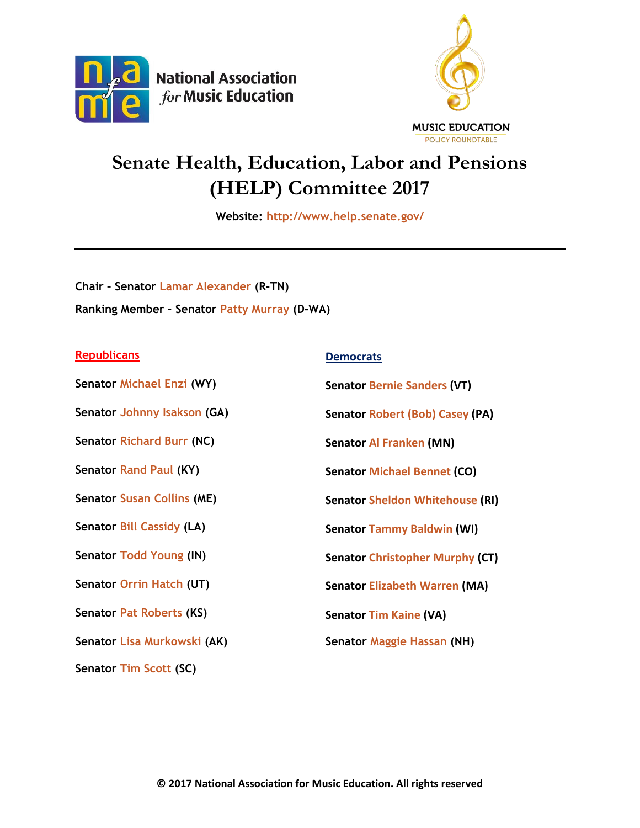



## **Senate Health, Education, Labor and Pensions (HELP) Committee 2017**

**Website:<http://www.help.senate.gov/>**

**Chair – Senator [Lamar Alexander](https://www.alexander.senate.gov/public/index.cfm/home) (R-TN) Ranking Member – Senator [Patty Murray](http://www.murray.senate.gov/public/) (D-WA)**

## **Republicans Democrats**

| Senator Michael Enzi (WY)         | <b>Senator Bernie Sanders (VT)</b>     |
|-----------------------------------|----------------------------------------|
| Senator Johnny Isakson (GA)       | <b>Senator Robert (Bob) Casey (PA)</b> |
| <b>Senator Richard Burr (NC)</b>  | <b>Senator Al Franken (MN)</b>         |
| Senator Rand Paul (KY)            | <b>Senator Michael Bennet (CO)</b>     |
| <b>Senator Susan Collins (ME)</b> | <b>Senator Sheldon Whitehouse (RI)</b> |
| <b>Senator Bill Cassidy (LA)</b>  | <b>Senator Tammy Baldwin (WI)</b>      |
| <b>Senator Todd Young (IN)</b>    | <b>Senator Christopher Murphy (CT)</b> |
| Senator Orrin Hatch (UT)          | <b>Senator Elizabeth Warren (MA)</b>   |
| <b>Senator Pat Roberts (KS)</b>   | <b>Senator Tim Kaine (VA)</b>          |
| Senator Lisa Murkowski (AK)       | Senator Maggie Hassan (NH)             |
| Senator Tim Scott (SC)            |                                        |